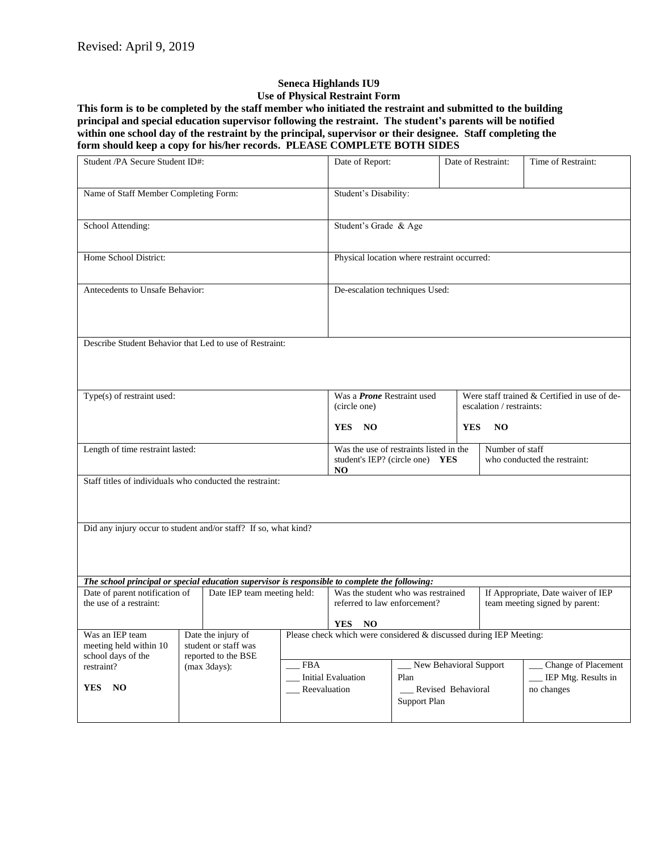## **Seneca Highlands IU9 Use of Physical Restraint Form**

**This form is to be completed by the staff member who initiated the restraint and submitted to the building principal and special education supervisor following the restraint. The student's parents will be notified**  within one school day of the restraint by the principal, supervisor or their designee. Staff completing the **form should keep a copy for his/her records. PLEASE COMPLETE BOTH SIDES** 

| Student /PA Secure Student ID#:                                 |                                                                                                                               |                                                         | Date of Report:                                                                                     |                                                                      | Date of Restraint: |                                                                          | Time of Restraint:                                         |  |
|-----------------------------------------------------------------|-------------------------------------------------------------------------------------------------------------------------------|---------------------------------------------------------|-----------------------------------------------------------------------------------------------------|----------------------------------------------------------------------|--------------------|--------------------------------------------------------------------------|------------------------------------------------------------|--|
| Name of Staff Member Completing Form:                           |                                                                                                                               |                                                         | Student's Disability:                                                                               |                                                                      |                    |                                                                          |                                                            |  |
| School Attending:                                               |                                                                                                                               |                                                         | Student's Grade & Age                                                                               |                                                                      |                    |                                                                          |                                                            |  |
| Home School District:                                           |                                                                                                                               |                                                         | Physical location where restraint occurred:                                                         |                                                                      |                    |                                                                          |                                                            |  |
| Antecedents to Unsafe Behavior:                                 |                                                                                                                               |                                                         | De-escalation techniques Used:                                                                      |                                                                      |                    |                                                                          |                                                            |  |
|                                                                 | Describe Student Behavior that Led to use of Restraint:                                                                       |                                                         |                                                                                                     |                                                                      |                    |                                                                          |                                                            |  |
| Type(s) of restraint used:                                      |                                                                                                                               |                                                         | Was a <b>Prone</b> Restraint used<br>(circle one)                                                   |                                                                      |                    | Were staff trained & Certified in use of de-<br>escalation / restraints: |                                                            |  |
|                                                                 |                                                                                                                               |                                                         | YES.<br>NO                                                                                          |                                                                      | <b>YES</b>         | N <sub>O</sub>                                                           |                                                            |  |
| Length of time restraint lasted:                                |                                                                                                                               |                                                         | Was the use of restraints listed in the<br>Number of staff<br>student's IEP? (circle one) YES<br>NO |                                                                      |                    | who conducted the restraint:                                             |                                                            |  |
|                                                                 | Staff titles of individuals who conducted the restraint:                                                                      |                                                         |                                                                                                     |                                                                      |                    |                                                                          |                                                            |  |
|                                                                 | Did any injury occur to student and/or staff? If so, what kind?                                                               |                                                         |                                                                                                     |                                                                      |                    |                                                                          |                                                            |  |
| Date of parent notification of                                  | The school principal or special education supervisor is responsible to complete the following:<br>Date IEP team meeting held: |                                                         |                                                                                                     | Was the student who was restrained                                   |                    |                                                                          | If Appropriate, Date waiver of IEP                         |  |
| the use of a restraint:                                         |                                                                                                                               |                                                         | referred to law enforcement?                                                                        |                                                                      |                    |                                                                          | team meeting signed by parent:                             |  |
|                                                                 |                                                                                                                               |                                                         | YES<br>NO                                                                                           |                                                                      |                    |                                                                          |                                                            |  |
| Was an IEP team<br>meeting held within 10<br>school days of the | Date the injury of<br>student or staff was<br>reported to the BSE                                                             |                                                         | Please check which were considered $\&$ discussed during IEP Meeting:                               |                                                                      |                    |                                                                          |                                                            |  |
| restraint?<br>NO<br><b>YES</b>                                  | (max 3days):                                                                                                                  | <b>FBA</b><br><b>Initial Evaluation</b><br>Reevaluation |                                                                                                     | New Behavioral Support<br>Plan<br>Revised Behavioral<br>Support Plan |                    |                                                                          | Change of Placement<br>_ IEP Mtg. Results in<br>no changes |  |